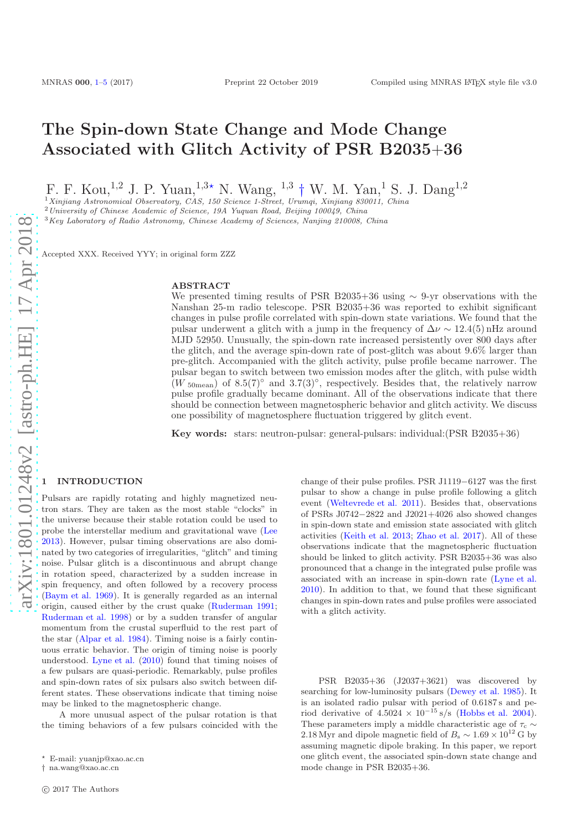# The Spin-down State Change and Mode Change Associated with Glitch Activity of PSR B2035+36

F. F. Kou,<sup>1,2</sup> J. P. Yuan,<sup>1,3\*</sup> N. Wang, <sup>1,3</sup> † W. M. Yan,<sup>1</sup> S. J. Dang<sup>1,2</sup>

 $1\chi$ injiang Astronomical Observatory, CAS, 150 Science 1-Street, Urumqi, Xinjiang 830011, China

<sup>2</sup> University of Chinese Academic of Science, 19A Yuquan Road, Beijing 100049, China

<sup>3</sup>Key Laboratory of Radio Astronomy, Chinese Academy of Sciences, Nanjing 210008, China

Accepted XXX. Received YYY; in original form ZZZ

### ABSTRACT

We presented timing results of PSR B2035+36 using  $\sim$  9-yr observations with the Nanshan 25-m radio telescope. PSR B2035+36 was reported to exhibit significant changes in pulse profile correlated with spin-down state variations. We found that the pulsar underwent a glitch with a jump in the frequency of  $\Delta \nu \sim 12.4(5)$  nHz around MJD 52950. Unusually, the spin-down rate increased persistently over 800 days after the glitch, and the average spin-down rate of post-glitch was about 9.6% larger than pre-glitch. Accompanied with the glitch activity, pulse profile became narrower. The pulsar began to switch between two emission modes after the glitch, with pulse width  $(W_{50 \text{mean}})$  of 8.5(7)° and 3.7(3)°, respectively. Besides that, the relatively narrow pulse profile gradually became dominant. All of the observations indicate that there should be connection between magnetospheric behavior and glitch activity. We discuss one possibility of magnetosphere fluctuation triggered by glitch event.

Key words: stars: neutron-pulsar: general-pulsars: individual:(PSR B2035+36)

#### <span id="page-0-0"></span>**INTRODUCTION**

Pulsars are rapidly rotating and highly magnetized neutron stars. They are taken as the most stable "clocks" in the universe because their stable rotation could be used to probe the interstellar medium and gravitational wave [\(Lee](#page-4-1) [2013](#page-4-1)). However, pulsar timing observations are also dominated by two categories of irregularities, "glitch" and timing noise. Pulsar glitch is a discontinuous and abrupt change in rotation speed, characterized by a sudden increase in spin frequency, and often followed by a recovery process [\(Baym et al. 1969\)](#page-4-2). It is generally regarded as an internal origin, caused either by the crust quake [\(Ruderman 1991;](#page-4-3) [Ruderman et al. 1998](#page-4-4)) or by a sudden transfer of angular momentum from the crustal superfluid to the rest part of the star [\(Alpar et al. 1984\)](#page-4-5). Timing noise is a fairly continuous erratic behavior. The origin of timing noise is poorly understood. [Lyne et al.](#page-4-6) [\(2010](#page-4-6)) found that timing noises of a few pulsars are quasi-periodic. Remarkably, pulse profiles and spin-down rates of six pulsars also switch between different states. These observations indicate that timing noise may be linked to the magnetospheric change.

A more unusual aspect of the pulsar rotation is that the timing behaviors of a few pulsars coincided with the

change of their pulse profiles. PSR J1119−6127 was the first pulsar to show a change in pulse profile following a glitch event [\(Weltevrede et al. 2011\)](#page-4-7). Besides that, observations of PSRs J0742−2822 and J2021+4026 also showed changes in spin-down state and emission state associated with glitch activities [\(Keith et al. 2013](#page-4-8); [Zhao et al. 2017\)](#page-4-9). All of these observations indicate that the magnetospheric fluctuation should be linked to glitch activity. PSR B2035+36 was also pronounced that a change in the integrated pulse profile was associated with an increase in spin-down rate [\(Lyne et al.](#page-4-6) [2010](#page-4-6)). In addition to that, we found that these significant changes in spin-down rates and pulse profiles were associated with a glitch activity.

PSR B2035+36 (J2037+3621) was discovered by searching for low-luminosity pulsars [\(Dewey et al. 1985](#page-4-10)). It is an isolated radio pulsar with period of 0.6187 s and period derivative of  $4.5024 \times 10^{-15}$  s/s [\(Hobbs et al. 2004](#page-4-11)). These parameters imply a middle characteristic age of  $\tau_c \sim$ 2.18 Myr and dipole magnetic field of  $B_s \sim 1.69 \times 10^{12}$  G by assuming magnetic dipole braking. In this paper, we report one glitch event, the associated spin-down state change and mode change in PSR B2035+36.

<sup>⋆</sup> E-mail: yuanjp@xao.ac.cn

<sup>†</sup> na.wang@xao.ac.cn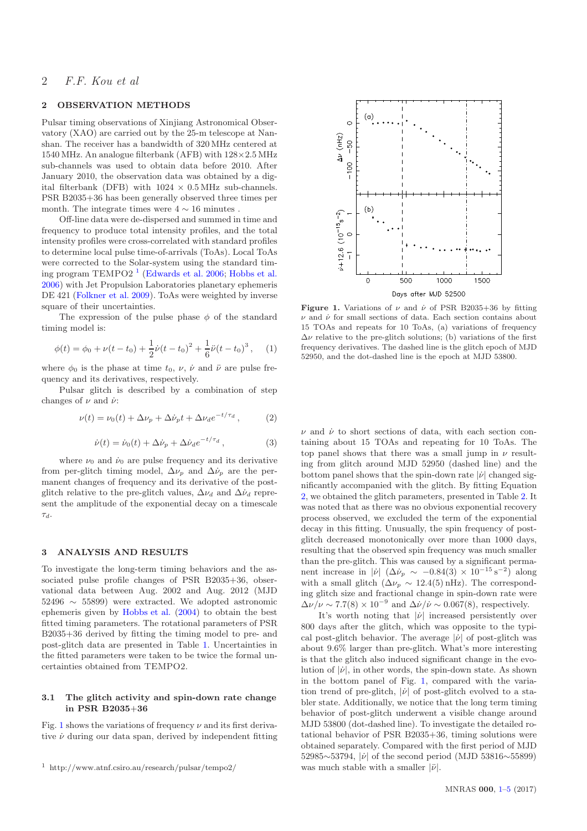# 2 F.F. Kou et al

## 2 OBSERVATION METHODS

Pulsar timing observations of Xinjiang Astronomical Observatory (XAO) are carried out by the 25-m telescope at Nanshan. The receiver has a bandwidth of 320 MHz centered at 1540 MHz. An analogue filterbank (AFB) with  $128\times2.5$  MHz sub-channels was used to obtain data before 2010. After January 2010, the observation data was obtained by a digital filterbank (DFB) with  $1024 \times 0.5 \text{ MHz}$  sub-channels. PSR B2035+36 has been generally observed three times per month. The integrate times were  $4\sim16$  minutes .

Off-line data were de-dispersed and summed in time and frequency to produce total intensity profiles, and the total intensity profiles were cross-correlated with standard profiles to determine local pulse time-of-arrivals (ToAs). Local ToAs were corrected to the Solar-system using the standard tim-ing program TEMPO2<sup>[1](#page-1-0)</sup> [\(Edwards et al. 2006](#page-4-12); [Hobbs et al.](#page-4-13) [2006](#page-4-13)) with Jet Propulsion Laboratories planetary ephemeris DE 421 [\(Folkner et al. 2009\)](#page-4-14). ToAs were weighted by inverse square of their uncertainties.

The expression of the pulse phase  $\phi$  of the standard timing model is:

$$
\phi(t) = \phi_0 + \nu(t - t_0) + \frac{1}{2}\dot{\nu}(t - t_0)^2 + \frac{1}{6}\ddot{\nu}(t - t_0)^3, \quad (1)
$$

where  $\phi_0$  is the phase at time  $t_0$ ,  $\nu$ ,  $\dot{\nu}$  and  $\ddot{\nu}$  are pulse frequency and its derivatives, respectively.

Pulsar glitch is described by a combination of step changes of  $\nu$  and  $\dot{\nu}$ :

<span id="page-1-2"></span>
$$
\nu(t) = \nu_0(t) + \Delta \nu_p + \Delta \dot{\nu}_p t + \Delta \nu_d e^{-t/\tau_d}, \qquad (2)
$$

$$
\dot{\nu}(t) = \dot{\nu}_0(t) + \Delta \dot{\nu}_p + \Delta \dot{\nu}_d e^{-t/\tau_d}, \qquad (3)
$$

where  $\nu_0$  and  $\dot{\nu}_0$  are pulse frequency and its derivative from per-glitch timing model,  $\Delta \nu_p$  and  $\Delta \dot{\nu}_p$  are the permanent changes of frequency and its derivative of the postglitch relative to the pre-glitch values,  $\Delta \nu_d$  and  $\Delta \dot{\nu}_d$  represent the amplitude of the exponential decay on a timescale  $\tau_d$ 

## 3 ANALYSIS AND RESULTS

To investigate the long-term timing behaviors and the associated pulse profile changes of PSR B2035+36, observational data between Aug. 2002 and Aug. 2012 (MJD 52496 ∼ 55899) were extracted. We adopted astronomic ephemeris given by [Hobbs et al.](#page-4-11) [\(2004](#page-4-11)) to obtain the best fitted timing parameters. The rotational parameters of PSR B2035+36 derived by fitting the timing model to pre- and post-glitch data are presented in Table [1.](#page-2-0) Uncertainties in the fitted parameters were taken to be twice the formal uncertainties obtained from TEMPO2.

### 3.1 The glitch activity and spin-down rate change in PSR B2035+36

Fig. [1](#page-1-1) shows the variations of frequency  $\nu$  and its first derivative  $\dot{\nu}$  during our data span, derived by independent fitting



<span id="page-1-1"></span>**Figure 1.** Variations of  $\nu$  and  $\dot{\nu}$  of PSR B2035+36 by fitting  $\nu$  and  $\dot{\nu}$  for small sections of data. Each section contains about 15 TOAs and repeats for 10 ToAs, (a) variations of frequency  $\Delta \nu$  relative to the pre-glitch solutions; (b) variations of the first frequency derivatives. The dashed line is the glitch epoch of MJD 52950, and the dot-dashed line is the epoch at MJD 53800.

 $\nu$  and  $\dot{\nu}$  to short sections of data, with each section containing about 15 TOAs and repeating for 10 ToAs. The top panel shows that there was a small jump in  $\nu$  resulting from glitch around MJD 52950 (dashed line) and the bottom panel shows that the spin-down rate  $|\dot{\nu}|$  changed significantly accompanied with the glitch. By fitting Equation [2,](#page-1-2) we obtained the glitch parameters, presented in Table [2.](#page-2-1) It was noted that as there was no obvious exponential recovery process observed, we excluded the term of the exponential decay in this fitting. Unusually, the spin frequency of postglitch decreased monotonically over more than 1000 days, resulting that the observed spin frequency was much smaller than the pre-glitch. This was caused by a significant permanent increase in | $|\dot{\nu}|$  ( $\Delta \dot{\nu}_p \sim -0.84(3) \times 10^{-15} \,\mathrm{s}^{-2}$ ) along with a small glitch  $(\Delta \nu_p \sim 12.4(5) \text{ nHz})$ . The corresponding glitch size and fractional change in spin-down rate were  $\Delta \nu / \nu \sim 7.7(8) \times 10^{-9}$  and  $\Delta \nu / \nu \sim 0.067(8)$ , respectively.

It's worth noting that  $|\dot{\nu}|$  increased persistently over 800 days after the glitch, which was opposite to the typical post-glitch behavior. The average  $|\dot{\nu}|$  of post-glitch was about 9.6% larger than pre-glitch. What's more interesting is that the glitch also induced significant change in the evolution of  $|\dot{\nu}|$ , in other words, the spin-down state. As shown in the bottom panel of Fig. [1,](#page-1-1) compared with the variation trend of pre-glitch,  $|\dot{\nu}|$  of post-glitch evolved to a stabler state. Additionally, we notice that the long term timing behavior of post-glitch underwent a visible change around MJD 53800 (dot-dashed line). To investigate the detailed rotational behavior of PSR B2035+36, timing solutions were obtained separately. Compared with the first period of MJD 52985∼53794, |ν of the second period (MJD 53816∼55899) was much stable with a smaller  $|\ddot{\nu}|$ .

<span id="page-1-0"></span><sup>1</sup> http://www.atnf.csiro.au/research/pulsar/tempo2/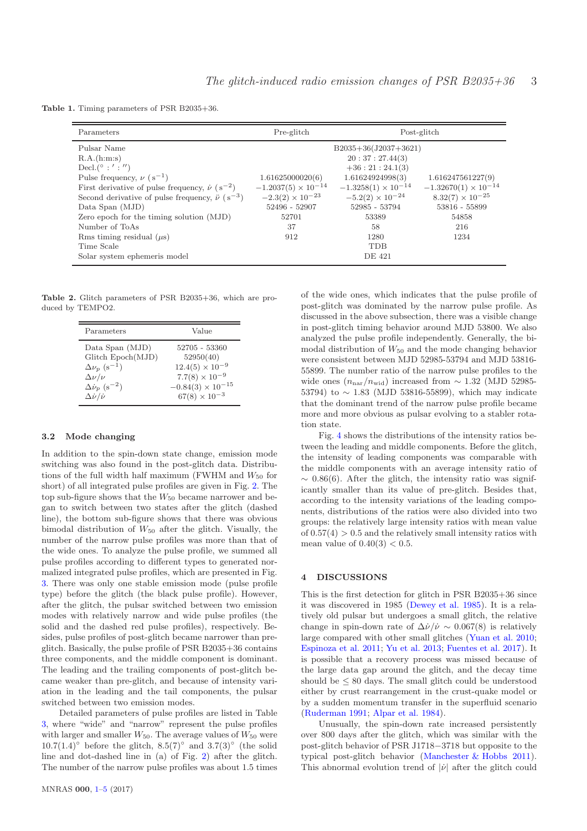Table 1. Timing parameters of PSR B2035+36.

<span id="page-2-0"></span>

| Parameters                                                            | Pre-glitch                   | Post-glitch                  |                               |  |  |
|-----------------------------------------------------------------------|------------------------------|------------------------------|-------------------------------|--|--|
| Pulsar Name                                                           | $B2035+36(J2037+3621)$       |                              |                               |  |  |
| R.A.(h:m:s)                                                           |                              | 20:37:27.44(3)               |                               |  |  |
| Decl.( $\circ$ :':'')                                                 |                              | $+36:21:24.1(3)$             |                               |  |  |
| Pulse frequency, $\nu$ (s <sup>-1</sup> )                             | 1.61625000020(6)             | 1.61624924998(3)             | 1.616247561227(9)             |  |  |
| First derivative of pulse frequency, $\dot{\nu}$ (s <sup>-2</sup> )   | $-1.2037(5) \times 10^{-14}$ | $-1.3258(1) \times 10^{-14}$ | $-1.32670(1) \times 10^{-14}$ |  |  |
| Second derivative of pulse frequency, $\ddot{\nu}$ (s <sup>-3</sup> ) | $-2.3(2) \times 10^{-23}$    | $-5.2(2) \times 10^{-24}$    | $8.32(7) \times 10^{-25}$     |  |  |
| Data Span (MJD)                                                       | 52496 - 52907                | 52985 - 53794                | 53816 - 55899                 |  |  |
| Zero epoch for the timing solution (MJD)                              | 52701                        | 53389                        | 54858                         |  |  |
| Number of ToAs                                                        | 37                           | 58                           | 216                           |  |  |
| Rms timing residual $(\mu s)$                                         | 912                          | 1280                         | 1234                          |  |  |
| Time Scale                                                            |                              | <b>TDB</b>                   |                               |  |  |
| Solar system ephemeris model                                          |                              | <b>DE 421</b>                |                               |  |  |

Table 2. Glitch parameters of PSR B2035+36, which are produced by TEMPO2.

<span id="page-2-1"></span>

| Parameters                              | Value                      |  |  |
|-----------------------------------------|----------------------------|--|--|
| Data Span (MJD)                         | 52705 - 53360              |  |  |
| Glitch Epoch(MJD)                       | 52950(40)                  |  |  |
| $\Delta \nu_p$ (s <sup>-1</sup> )       | $12.4(5) \times 10^{-9}$   |  |  |
| $\Delta \nu / \nu$                      | $7.7(8) \times 10^{-9}$    |  |  |
| $\Delta \dot{\nu}_p$ (s <sup>-2</sup> ) | $-0.84(3) \times 10^{-15}$ |  |  |
| $\Delta \dot{\nu}/\dot{\nu}$            | $67(8) \times 10^{-3}$     |  |  |

#### 3.2 Mode changing

In addition to the spin-down state change, emission mode switching was also found in the post-glitch data. Distributions of the full width half maximum (FWHM and  $W_{50}$  for short) of all integrated pulse profiles are given in Fig. [2.](#page-3-0) The top sub-figure shows that the  $W_{50}$  became narrower and began to switch between two states after the glitch (dashed line), the bottom sub-figure shows that there was obvious bimodal distribution of  $W_{50}$  after the glitch. Visually, the number of the narrow pulse profiles was more than that of the wide ones. To analyze the pulse profile, we summed all pulse profiles according to different types to generated normalized integrated pulse profiles, which are presented in Fig. [3.](#page-3-1) There was only one stable emission mode (pulse profile type) before the glitch (the black pulse profile). However, after the glitch, the pulsar switched between two emission modes with relatively narrow and wide pulse profiles (the solid and the dashed red pulse profiles), respectively. Besides, pulse profiles of post-glitch became narrower than preglitch. Basically, the pulse profile of PSR B2035+36 contains three components, and the middle component is dominant. The leading and the trailing components of post-glitch became weaker than pre-glitch, and because of intensity variation in the leading and the tail components, the pulsar switched between two emission modes.

Detailed parameters of pulse profiles are listed in Table [3,](#page-3-2) where "wide" and "narrow" represent the pulse profiles with larger and smaller  $W_{50}$ . The average values of  $W_{50}$  were  $10.7(1.4)°$  before the glitch,  $8.5(7)°$  and  $3.7(3)°$  (the solid line and dot-dashed line in (a) of Fig. [2\)](#page-3-0) after the glitch. The number of the narrow pulse profiles was about 1.5 times of the wide ones, which indicates that the pulse profile of post-glitch was dominated by the narrow pulse profile. As discussed in the above subsection, there was a visible change in post-glitch timing behavior around MJD 53800. We also analyzed the pulse profile independently. Generally, the bimodal distribution of  $W_{50}$  and the mode changing behavior were consistent between MJD 52985-53794 and MJD 53816- 55899. The number ratio of the narrow pulse profiles to the wide ones  $(n_{\text{nar}}/n_{\text{wid}})$  increased from ~ 1.32 (MJD 52985-53794) to ∼ 1.83 (MJD 53816-55899), which may indicate that the dominant trend of the narrow pulse profile became more and more obvious as pulsar evolving to a stabler rotation state.

Fig. [4](#page-3-3) shows the distributions of the intensity ratios between the leading and middle components. Before the glitch, the intensity of leading components was comparable with the middle components with an average intensity ratio of  $\sim 0.86(6)$ . After the glitch, the intensity ratio was significantly smaller than its value of pre-glitch. Besides that, according to the intensity variations of the leading components, distributions of the ratios were also divided into two groups: the relatively large intensity ratios with mean value of  $0.57(4) > 0.5$  and the relatively small intensity ratios with mean value of  $0.40(3) < 0.5$ .

### 4 DISCUSSIONS

This is the first detection for glitch in PSR B2035+36 since it was discovered in 1985 [\(Dewey et al. 1985](#page-4-10)). It is a relatively old pulsar but undergoes a small glitch, the relative change in spin-down rate of  $\Delta \dot{\nu}/\dot{\nu} \sim 0.067(8)$  is relatively large compared with other small glitches [\(Yuan et al. 2010](#page-4-15); [Espinoza et al. 2011;](#page-4-16) [Yu et al. 2013](#page-4-17); [Fuentes et al. 2017](#page-4-18)). It is possible that a recovery process was missed because of the large data gap around the glitch, and the decay time should be  $\leq 80$  days. The small glitch could be understood either by crust rearrangement in the crust-quake model or by a sudden momentum transfer in the superfluid scenario [\(Ruderman 1991](#page-4-3); [Alpar et al. 1984\)](#page-4-5).

Unusually, the spin-down rate increased persistently over 800 days after the glitch, which was similar with the post-glitch behavior of PSR J1718−3718 but opposite to the typical post-glitch behavior [\(Manchester & Hobbs 2011](#page-4-19)). This abnormal evolution trend of  $|\dot{\nu}|$  after the glitch could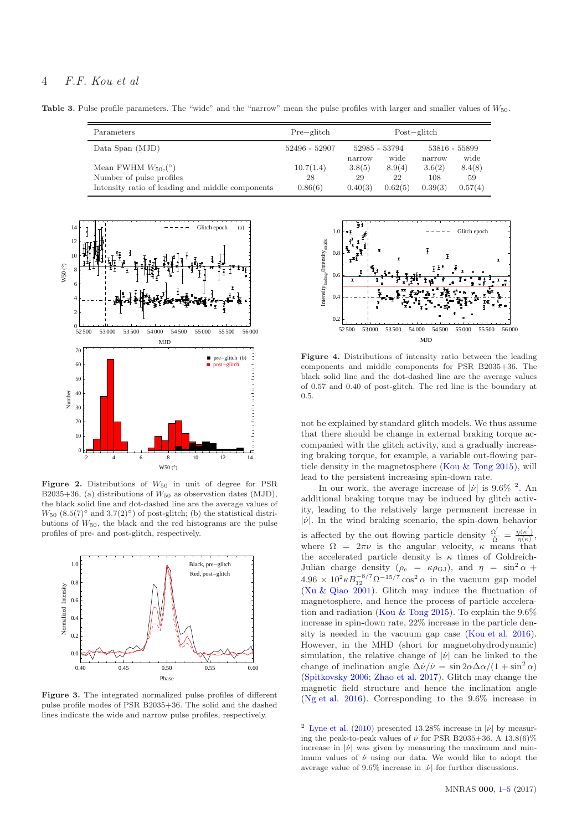**Table 3.** Pulse profile parameters. The "wide" and the "narrow" mean the pulse profiles with larger and smaller values of  $W_{50}$ .

<span id="page-3-2"></span>

| Parameters                                                                   | $Pre-glitch$  | Post–glitch           |               |                       |               |
|------------------------------------------------------------------------------|---------------|-----------------------|---------------|-----------------------|---------------|
| Data Span (MJD)                                                              | 52496 - 52907 | 52985 - 53794<br>wide |               | 53816 - 55899<br>wide |               |
| Mean FWHM $W_{50}$ , (°)                                                     | 10.7(1.4)     | narrow<br>3.8(5)      | 8.9(4)        | narrow<br>3.6(2)      | 8.4(8)        |
| Number of pulse profiles<br>Intensity ratio of leading and middle components | 28<br>0.86(6) | 29<br>0.40(3)         | 22<br>0.62(5) | 108<br>0.39(3)        | 59<br>0.57(4) |



<span id="page-3-0"></span>Figure 2. Distributions of  $W_{50}$  in unit of degree for PSR B2035+36, (a) distributions of  $W_{50}$  as observation dates (MJD), the black solid line and dot-dashed line are the average values of  $W_{50}$  (8.5(7)° and 3.7(2)°) of post-glitch; (b) the statistical distributions of  $W_{50}$ , the black and the red histograms are the pulse profiles of pre- and post-glitch, respectively.



<span id="page-3-1"></span>Figure 3. The integrated normalized pulse profiles of different pulse profile modes of PSR B2035+36. The solid and the dashed lines indicate the wide and narrow pulse profiles, respectively.



<span id="page-3-3"></span>Figure 4. Distributions of intensity ratio between the leading components and middle components for PSR B2035+36. The black solid line and the dot-dashed line are the average values of 0.57 and 0.40 of post-glitch. The red line is the boundary at 0.5.

not be explained by standard glitch models. We thus assume that there should be change in external braking torque accompanied with the glitch activity, and a gradually increasing braking torque, for example, a variable out-flowing particle density in the magnetosphere [\(Kou & Tong 2015\)](#page-4-20), will lead to the persistent increasing spin-down rate.

In our work, the average increase of  $|\dot{\nu}|$  is 9.6% <sup>[2](#page-3-4)</sup>. An additional braking torque may be induced by glitch activity, leading to the relatively large permanent increase in  $|\dot{\nu}|$ . In the wind braking scenario, the spin-down behavior is affected by the out flowing particle density  $\frac{\dot{\Omega}'}{\Omega} = \frac{\eta(\kappa')}{\eta(\kappa)}$ , where  $\Omega = 2\pi\nu$  is the angular velocity,  $\kappa$  means that the accelerated particle density is  $\kappa$  times of Goldreich-Julian charge density  $(\rho_e = \kappa \rho_{GJ})$ , and  $\eta = \sin^2 \alpha +$  $4.96 \times 10^2 \kappa B_{12}^{-8/7} \Omega^{-15/7} \cos^2 \alpha$  in the vacuum gap model [\(Xu & Qiao 2001](#page-4-21)). Glitch may induce the fluctuation of magnetosphere, and hence the process of particle accelera-tion and radiation [\(Kou & Tong 2015](#page-4-20)). To explain the  $9.6\%$ increase in spin-down rate, 22% increase in the particle density is needed in the vacuum gap case [\(Kou et al. 2016](#page-4-22)). However, in the MHD (short for magnetohydrodynamic) simulation, the relative change of  $|\nu|$  can be linked to the change of inclination angle  $\Delta \dot{\nu}/\dot{\nu} = \sin 2\alpha \Delta \alpha/(1 + \sin^2 \alpha)$ [\(Spitkovsky 2006;](#page-4-23) [Zhao et al. 2017](#page-4-9)). Glitch may change the magnetic field structure and hence the inclination angle [\(Ng et al. 2016](#page-4-24)). Corresponding to the 9.6% increase in

<span id="page-3-4"></span><sup>2</sup> [Lyne et al.](#page-4-6) [\(2010](#page-4-6)) presented 13.28% increase in  $|\nu|$  by measuring the peak-to-peak values of  $\nu$  for PSR B2035+36. A 13.8(6)% increase in  $|\dot{\nu}|$  was given by measuring the maximum and minimum values of  $\dot{\nu}$  using our data. We would like to adopt the average value of 9.6% increase in  $|\dot{\nu}|$  for further discussions.